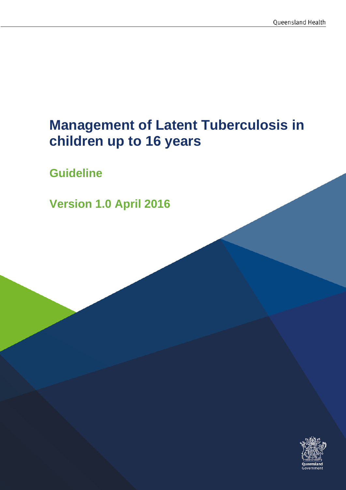# **Management of Latent Tuberculosis in children up to 16 years**

**Guideline**

**Version 1.0 April 2016**

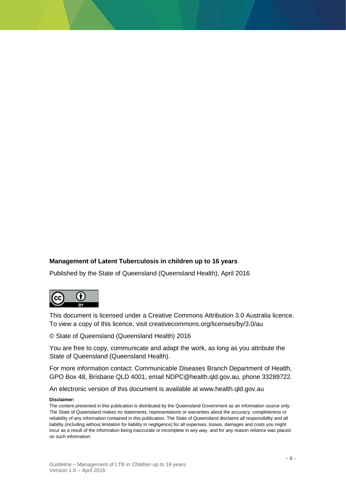#### **Management of Latent Tuberculosis in children up to 16 years**

Published by the State of Queensland (Queensland Health), April 2016



This document is licensed under a Creative Commons Attribution 3.0 Australia licence. To view a copy of this licence, visit creativecommons.org/licenses/by/3.0/au

© State of Queensland (Queensland Health) 2016

You are free to copy, communicate and adapt the work, as long as you attribute the State of Queensland (Queensland Health).

For more information contact: Communicable Diseases Branch Department of Health, GPO Box 48, Brisbane QLD 4001, email NDPC@health.qld.gov.au, phone 33289722.

An electronic version of this document is available at www.health.qld.gov.au

#### **Disclaimer:**

The content presented in this publication is distributed by the Queensland Government as an information source only. The State of Queensland makes no statements, representations or warranties about the accuracy, completeness or reliability of any information contained in this publication. The State of Queensland disclaims all responsibility and all liability (including without limitation for liability in negligence) for all expenses, losses, damages and costs you might incur as a result of the information being inaccurate or incomplete in any way, and for any reason reliance was placed on such information.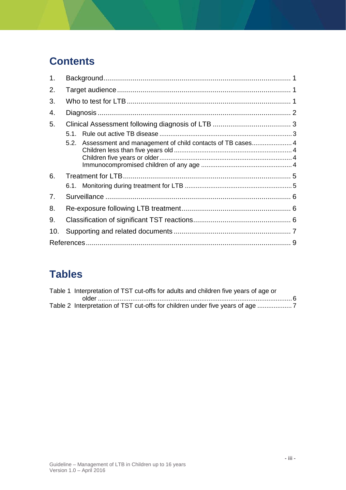## **Contents**

| 1.  |                                                                   |  |  |  |
|-----|-------------------------------------------------------------------|--|--|--|
| 2.  |                                                                   |  |  |  |
| 3.  |                                                                   |  |  |  |
| 4.  |                                                                   |  |  |  |
| 5.  |                                                                   |  |  |  |
|     | 5.1                                                               |  |  |  |
|     | Assessment and management of child contacts of TB cases 4<br>5.2. |  |  |  |
|     |                                                                   |  |  |  |
|     |                                                                   |  |  |  |
| 6.  |                                                                   |  |  |  |
|     |                                                                   |  |  |  |
| 7.  |                                                                   |  |  |  |
| 8.  |                                                                   |  |  |  |
| 9.  |                                                                   |  |  |  |
| 10. |                                                                   |  |  |  |
|     |                                                                   |  |  |  |

## **Tables**

| Table 1 Interpretation of TST cut-offs for adults and children five years of age or |  |
|-------------------------------------------------------------------------------------|--|
|                                                                                     |  |
| Table 2 Interpretation of TST cut-offs for children under five years of age         |  |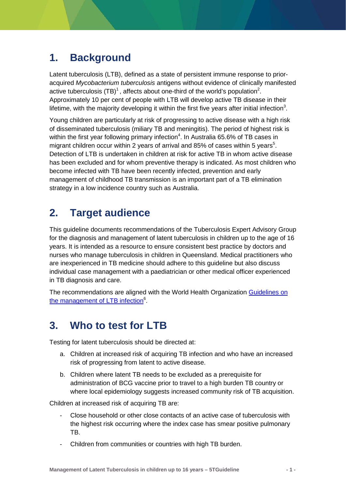### <span id="page-3-0"></span>**1. Background**

Latent tuberculosis (LTB), defined as a state of persistent immune response to prioracquired *Mycobacterium tuberculosis* antigens without evidence of clinically manifested active tuberculosis (TB)<sup>[1](#page-11-0)</sup>, affects about one-third of the world's population<sup>[2](#page-11-1)</sup>. Approximately 10 per cent of people with LTB will develop active TB disease in their lifetime, with the majority developing it within the first five years after initial infection<sup>[3](#page-11-2)</sup>.

Young children are particularly at risk of progressing to active disease with a high risk of disseminated tuberculosis (miliary TB and meningitis). The period of highest risk is within the first year following primary infection<sup>4</sup>[.](#page-11-3) In Australia 65.6% of TB cases in migrant children occur within 2 year[s](#page-11-4) of arrival and 85% of cases within 5 years<sup>5</sup>. Detection of LTB is undertaken in children at risk for active TB in whom active disease has been excluded and for whom preventive therapy is indicated. As most children who become infected with TB have been recently infected, prevention and early management of childhood TB transmission is an important part of a TB elimination strategy in a low incidence country such as Australia.

### <span id="page-3-1"></span>**2. Target audience**

This guideline documents recommendations of the Tuberculosis Expert Advisory Group for the diagnosis and management of latent tuberculosis in children up to the age of 16 years. It is intended as a resource to ensure consistent best practice by doctors and nurses who manage tuberculosis in children in Queensland. Medical practitioners who are inexperienced in TB medicine should adhere to this guideline but also discuss individual case management with a paediatrician or other medical officer experienced in TB diagnosis and care.

The recommendations are aligned with the World Health Organization [Guidelines on](http://apps.who.int/iris/bitstream/10665/136471/1/9789241548908_eng.pdf?ua=1&ua=1)  [the management of LTB infection](http://apps.who.int/iris/bitstream/10665/136471/1/9789241548908_eng.pdf?ua=1&ua=1)<sup>[6](#page-11-5)</sup>.

### <span id="page-3-2"></span>**3. Who to test for LTB**

Testing for latent tuberculosis should be directed at:

- a. Children at increased risk of acquiring TB infection and who have an increased risk of progressing from latent to active disease.
- b. Children where latent TB needs to be excluded as a prerequisite for administration of BCG vaccine prior to travel to a high burden TB country or where local epidemiology suggests increased community risk of TB acquisition.

Children at increased risk of acquiring TB are:

- Close household or other close contacts of an active case of tuberculosis with the highest risk occurring where the index case has smear positive pulmonary TB.
- Children from communities or countries with high TB burden.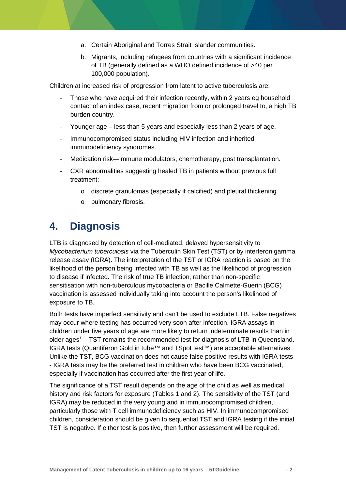- a. Certain Aboriginal and Torres Strait Islander communities.
- b. Migrants, including refugees from countries with a significant incidence of TB (generally defined as a WHO defined incidence of >40 per 100,000 population).

Children at increased risk of progression from latent to active tuberculosis are:

- Those who have acquired their infection recently, within 2 years eg household contact of an index case, recent migration from or prolonged travel to, a high TB burden country.
- Younger age less than 5 years and especially less than 2 years of age.
- Immunocompromised status including HIV infection and inherited immunodeficiency syndromes.
- Medication risk—immune modulators, chemotherapy, post transplantation.
- CXR abnormalities suggesting healed TB in patients without previous full treatment:
	- o discrete granulomas (especially if calcified) and pleural thickening
	- o pulmonary fibrosis.

#### <span id="page-4-0"></span>**4. Diagnosis**

LTB is diagnosed by detection of cell-mediated, delayed hypersensitivity to *Mycobacterium tuberculosis* via the Tuberculin Skin Test (TST) or by interferon gamma release assay (IGRA). The interpretation of the TST or IGRA reaction is based on the likelihood of the person being infected with TB as well as the likelihood of progression to disease if infected. The risk of true TB infection, rather than non-specific sensitisation with non-tuberculous mycobacteria or Bacille Calmette-Guerin (BCG) vaccination is assessed individually taking into account the person's likelihood of exposure to TB.

Both tests have imperfect sensitivity and can't be used to exclude LTB. False negatives may occur where testing has occurred very soon after infection. IGRA assays in children under five years of age are more likely to return indeterminate results than in olderages<sup>7</sup> - TST remains the recommended test for diagnosis of LTB in Queensland. IGRA tests (Quantiferon Gold in tube™ and TSpot test™) are acceptable alternatives. Unlike the TST, BCG vaccination does not cause false positive results with IGRA tests - IGRA tests may be the preferred test in children who have been BCG vaccinated, especially if vaccination has occurred after the first year of life.

The significance of a TST result depends on the age of the child as well as medical history and risk factors for exposure (Tables 1 and 2). The sensitivity of the TST (and IGRA) may be reduced in the very young and in immunocompromised children, particularly those with T cell immunodeficiency such as HIV. In immunocompromised children, consideration should be given to sequential TST and IGRA testing if the initial TST is negative. If either test is positive, then further assessment will be required.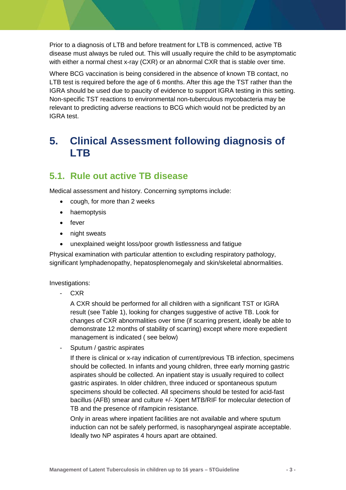Prior to a diagnosis of LTB and before treatment for LTB is commenced, active TB disease must always be ruled out. This will usually require the child to be asymptomatic with either a normal chest x-ray (CXR) or an abnormal CXR that is stable over time.

Where BCG vaccination is being considered in the absence of known TB contact, no LTB test is required before the age of 6 months. After this age the TST rather than the IGRA should be used due to paucity of evidence to support IGRA testing in this setting. Non-specific TST reactions to environmental non-tuberculous mycobacteria may be relevant to predicting adverse reactions to BCG which would not be predicted by an IGRA test.

#### <span id="page-5-0"></span>**5. Clinical Assessment following diagnosis of LTB**

#### <span id="page-5-1"></span>**5.1. Rule out active TB disease**

Medical assessment and history. Concerning symptoms include:

- cough, for more than 2 weeks
- haemoptysis
- fever
- night sweats
- unexplained weight loss/poor growth listlessness and fatigue

Physical examination with particular attention to excluding respiratory pathology, significant lymphadenopathy, hepatosplenomegaly and skin/skeletal abnormalities.

Investigations:

- CXR

A CXR should be performed for all children with a significant TST or IGRA result (see Table 1), looking for changes suggestive of active TB. Look for changes of CXR abnormalities over time (if scarring present, ideally be able to demonstrate 12 months of stability of scarring) except where more expedient management is indicated ( see below)

- Sputum / gastric aspirates

If there is clinical or x-ray indication of current/previous TB infection, specimens should be collected. In infants and young children, three early morning gastric aspirates should be collected. An inpatient stay is usually required to collect gastric aspirates. In older children, three induced or spontaneous sputum specimens should be collected. All specimens should be tested for acid-fast bacillus (AFB) smear and culture +/- Xpert MTB/RIF for molecular detection of TB and the presence of rifampicin resistance.

Only in areas where inpatient facilities are not available and where sputum induction can not be safely performed, is nasopharyngeal aspirate acceptable. Ideally two NP aspirates 4 hours apart are obtained.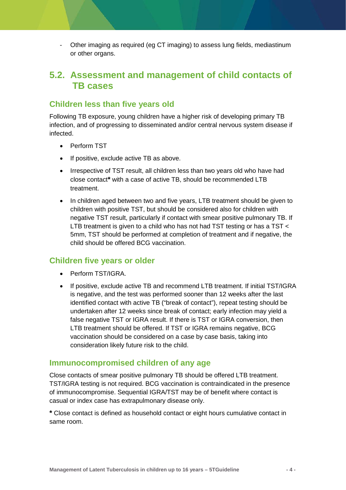- Other imaging as required (eg CT imaging) to assess lung fields, mediastinum or other organs.

#### <span id="page-6-0"></span>**5.2. Assessment and management of child contacts of TB cases**

#### <span id="page-6-1"></span>**Children less than five years old**

Following TB exposure, young children have a higher risk of developing primary TB infection, and of progressing to disseminated and/or central nervous system disease if infected.

- Perform TST
- If positive, exclude active TB as above.
- Irrespective of TST result, all children less than two years old who have had close contact**\*** with a case of active TB, should be recommended LTB treatment.
- In children aged between two and five years, LTB treatment should be given to children with positive TST, but should be considered also for children with negative TST result, particularly if contact with smear positive pulmonary TB. If LTB treatment is given to a child who has not had TST testing or has a TST < 5mm, TST should be performed at completion of treatment and if negative, the child should be offered BCG vaccination.

#### <span id="page-6-2"></span>**Children five years or older**

- Perform TST/IGRA.
- If positive, exclude active TB and recommend LTB treatment. If initial TST/IGRA is negative, and the test was performed sooner than 12 weeks after the last identified contact with active TB ("break of contact"), repeat testing should be undertaken after 12 weeks since break of contact; early infection may yield a false negative TST or IGRA result. If there is TST or IGRA conversion, then LTB treatment should be offered. If TST or IGRA remains negative, BCG vaccination should be considered on a case by case basis, taking into consideration likely future risk to the child.

#### <span id="page-6-3"></span>**Immunocompromised children of any age**

Close contacts of smear positive pulmonary TB should be offered LTB treatment. TST/IGRA testing is not required. BCG vaccination is contraindicated in the presence of immunocompromise. Sequential IGRA/TST may be of benefit where contact is casual or index case has extrapulmonary disease only.

**\*** Close contact is defined as household contact or eight hours cumulative contact in same room.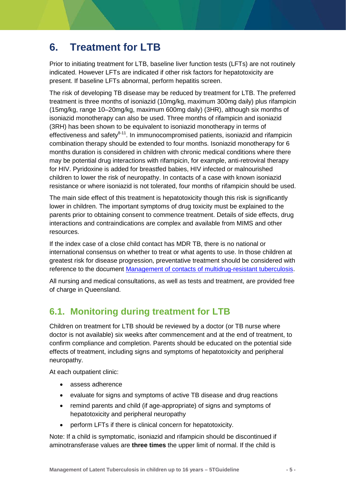### <span id="page-7-0"></span>**6. Treatment for LTB**

Prior to initiating treatment for LTB, baseline liver function tests (LFTs) are not routinely indicated. However LFTs are indicated if other risk factors for hepatotoxicity are present. If baseline LFTs abnormal, perform hepatitis screen.

The risk of developing TB disease may be reduced by treatment for LTB. The preferred treatment is three months of isoniazid (10mg/kg, maximum 300mg daily) plus rifampicin (15mg/kg, range 10–20mg/kg, maximum 600mg daily) (3HR), although six months of isoniazid monotherapy can also be used. Three months of rifampicin and isoniazid (3RH) has been shown to be equivalent to isoniazid monotherapy in terms of effectiveness and safety $^{8-11}$ . In immunocompromised patients, isoniazid and rifampicin combination therapy should be extended to four months. Isoniazid monotherapy for 6 months duration is considered in children with chronic medical conditions where there may be potential drug interactions with rifampicin, for example, anti-retroviral therapy for HIV. Pyridoxine is added for breastfed babies, HIV infected or malnourished children to lower the risk of neuropathy. In contacts of a case with known isoniazid resistance or where isoniazid is not tolerated, four months of rifampicin should be used.

The main side effect of this treatment is hepatotoxicity though this risk is significantly lower in children. The important symptoms of drug toxicity must be explained to the parents prior to obtaining consent to commence treatment. Details of side effects, drug interactions and contraindications are complex and available from MIMS and other resources.

If the index case of a close child contact has MDR TB, there is no national or international consensus on whether to treat or what agents to use. In those children at greatest risk for disease progression, preventative treatment should be considered with reference to the document [Management of contacts of multidrug-resistant tuberculosis.](https://www.health.qld.gov.au/publications/clinical-practice/guidelines-procedures/diseases-infection/governance/mdr-tuberculosis-contacts.pdf)

All nursing and medical consultations, as well as tests and treatment, are provided free of charge in Queensland.

#### <span id="page-7-1"></span>**6.1. Monitoring during treatment for LTB**

Children on treatment for LTB should be reviewed by a doctor (or TB nurse where doctor is not available) six weeks after commencement and at the end of treatment, to confirm compliance and completion. Parents should be educated on the potential side effects of treatment, including signs and symptoms of hepatotoxicity and peripheral neuropathy.

At each outpatient clinic:

- assess adherence
- evaluate for signs and symptoms of active TB disease and drug reactions
- remind parents and child (if age-appropriate) of signs and symptoms of hepatotoxicity and peripheral neuropathy
- perform LFTs if there is clinical concern for hepatotoxicity.

Note: If a child is symptomatic, isoniazid and rifampicin should be discontinued if aminotransferase values are **three times** the upper limit of normal. If the child is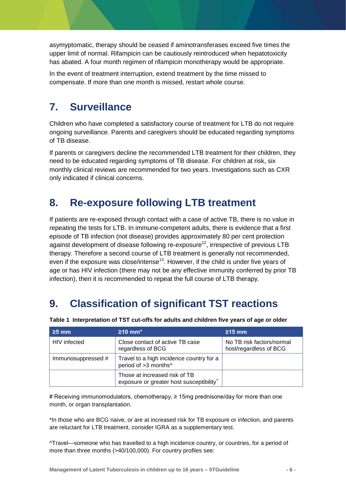asymyptomatic, therapy should be ceased if aminotransferases exceed five times the upper limit of normal. Rifampicin can be cautiously reintroduced when hepatotoxicity has abated. A four month regimen of rifampicin monotherapy would be appropriate.

In the event of treatment interruption, extend treatment by the time missed to compensate. If more than one month is missed, restart whole course.

### <span id="page-8-0"></span>**7. Surveillance**

Children who have completed a satisfactory course of treatment for LTB do not require ongoing surveillance. Parents and caregivers should be educated regarding symptoms of TB disease.

If parents or caregivers decline the recommended LTB treatment for their children, they need to be educated regarding symptoms of TB disease. For children at risk, six monthly clinical reviews are recommended for two years. Investigations such as CXR only indicated if clinical concerns.

### <span id="page-8-1"></span>**8. Re-exposure following LTB treatment**

If patients are re-exposed through contact with a case of active TB, there is no value in repeating the tests for LTB. In immune-competent adults, there is evidence that a first episode of TB infection (not disease) provides approximately 80 per cent protection against development of disease following re-exposure<sup>12</sup>, irrespective of previous LTB therapy. Therefore a second course of LTB treatment is generally not recommended, even if the exposure was close/intense<sup>13</sup>. However, if the child is under five years of age or has HIV infection (there may not be any effective immunity conferred by prior TB infection), then it is recommended to repeat the full course of LTB therapy.

## <span id="page-8-2"></span>**9. Classification of significant TST reactions**

| $\geq$ 5 mm        | $\geq$ 10 mm <sup>*</sup>                                                             | $\geq$ 15 mm                                        |
|--------------------|---------------------------------------------------------------------------------------|-----------------------------------------------------|
| HIV infected       | Close contact of active TB case<br>regardless of BCG                                  | No TB risk factors/normal<br>host/regardless of BCG |
| Immunosuppressed # | Travel to a high incidence country for a<br>period of >3 months^                      |                                                     |
|                    | Those at increased risk of TB<br>exposure or greater host susceptibility <sup>+</sup> |                                                     |

<span id="page-8-3"></span>**Table 1 Interpretation of TST cut-offs for adults and children five years of age or older**

# Receiving immunomodulators, chemotherapy, ≥ 15mg prednisone/day for more than one month, or organ transplantation.

\*In those who are BCG naive, or are at increased risk for TB exposure or infection, and parents are reluctant for LTB treatment, consider IGRA as a supplementary test.

^Travel—someone who has travelled to a high incidence country, or countries, for a period of more than three months (>40/100,000). For country profiles see: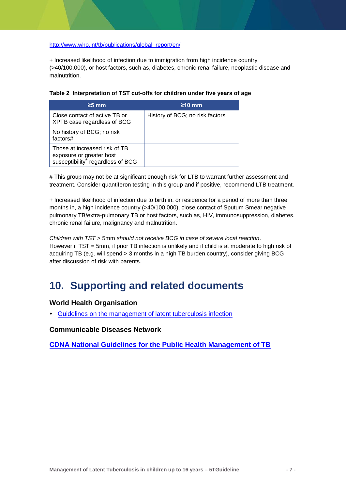#### [http://www.who.int/tb/publications/global\\_report/en/](http://www.who.int/tb/publications/global_report/en/)

+ Increased likelihood of infection due to immigration from high incidence country (>40/100,000), or host factors, such as, diabetes, chronic renal failure, neoplastic disease and malnutrition.

| $\geq$ 5 mm                                                                                                | $\geq$ 10 mm                    |
|------------------------------------------------------------------------------------------------------------|---------------------------------|
| Close contact of active TB or<br>XPTB case regardless of BCG                                               | History of BCG; no risk factors |
| No history of BCG; no risk<br>factors#                                                                     |                                 |
| Those at increased risk of TB<br>exposure or greater host<br>susceptibility <sup>+</sup> regardless of BCG |                                 |

<span id="page-9-1"></span>

|  | Table 2 Interpretation of TST cut-offs for children under five years of age |  |  |  |  |
|--|-----------------------------------------------------------------------------|--|--|--|--|
|--|-----------------------------------------------------------------------------|--|--|--|--|

# This group may not be at significant enough risk for LTB to warrant further assessment and treatment. Consider quantiferon testing in this group and if positive, recommend LTB treatment.

+ Increased likelihood of infection due to birth in, or residence for a period of more than three months in, a high incidence country (>40/100,000), close contact of Sputum Smear negative pulmonary TB/extra-pulmonary TB or host factors, such as, HIV, immunosuppression, diabetes, chronic renal failure, malignancy and malnutrition.

*Children with TST* > 5mm *should not receive BCG in case of severe local reaction*. However if TST = 5mm, if prior TB infection is unlikely and if child is at moderate to high risk of acquiring TB (e.g. will spend > 3 months in a high TB burden country), consider giving BCG after discussion of risk with parents.

#### <span id="page-9-0"></span>**10. Supporting and related documents**

#### **World Health Organisation**

[Guidelines on the management of latent tuberculosis infection](http://apps.who.int/iris/bitstream/10665/136471/1/9789241548908_eng.pdf?ua=1&ua=1)

**Communicable Diseases Network** 

**[CDNA National Guidelines for the Public Health Management of TB](http://www.health.gov.au/internet/main/publishing.nsf/Content/D140EDF48C0A0CEACA257BF0001A3537/$File/TB-SoNG-July-2013.pdf)**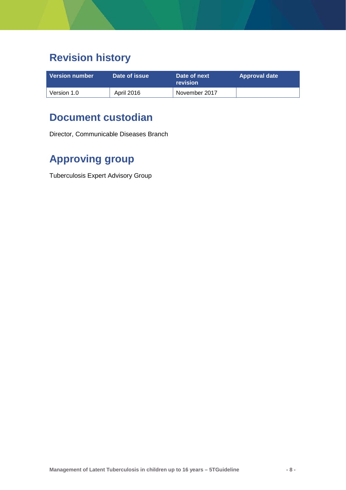## **Revision history**

| <b>Version number</b> | Date of issue | Date of next<br>revision | Approval date |
|-----------------------|---------------|--------------------------|---------------|
| Version 1.0           | April 2016    | November 2017            |               |

#### **Document custodian**

Director, Communicable Diseases Branch

## **Approving group**

<span id="page-10-0"></span>Tuberculosis Expert Advisory Group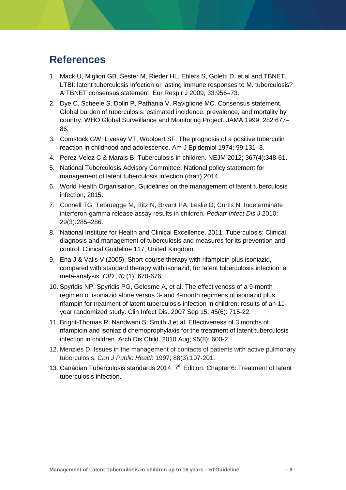#### **References**

- <span id="page-11-0"></span>1. Mack U, Migliori GB, Sester M, Rieder HL, Ehlers S, Goletti D, et al and TBNET. LTBI: latent tuberculosis infection or lasting immune responses to M. tuberculosis? A TBNET consensus statement. Eur Respir J 2009; 33:956–73.
- <span id="page-11-1"></span>2. Dye C, Scheele S, Dolin P, Pathania V, Raviglione MC. Consensus statement. Global burden of tuberculosis: estimated incidence, prevalence, and mortality by country. WHO Global Surveillance and Monitoring Project. JAMA 1999; 282:677– 86.
- <span id="page-11-2"></span>3. Comstock GW, Livesay VT, Woolpert SF. The prognosis of a positive tuberculin reaction in childhood and adolescence. Am J Epidemiol 1974; 99:131–8.
- <span id="page-11-3"></span>4. Perez-Velez C & Marais B. Tuberculosis in children. NEJM 2012; 367(4):348-61.
- <span id="page-11-4"></span>5. National Tuberculosis Advisory Committee. National policy statement for management of latent tuberculosis infection (draft) 2014.
- <span id="page-11-5"></span>6. World Health Organisation. Guidelines on the management of latent tuberculosis infection, 2015.
- <span id="page-11-6"></span>7. Connell TG, Tebruegge M, Ritz N, Bryant PA, Leslie D, Curtis N. Indeterminate interferon-gamma release assay results in children. *Pediatr Infect Dis J* 2010; 29(3):285–286.
- <span id="page-11-7"></span>8. National Institute for Health and Clinical Excellence, 2011. Tuberculosis: Clinical diagnosis and management of tuberculosis and measures for its prevention and control. Clinical Guideline 117, United Kingdom.
- 9. Ena J & Valls V (2005). Short-course therapy with rifampicin plus isoniazid, compared with standard therapy with isonazid, for latent tuberculosis infection: a meta-analysis. *CID ,40* (1), 670-676.
- 10. Spyridis NP, Spyridis PG, Gelesme A, et al. [The effectiveness of a 9-month](http://www.ncbi.nlm.nih.gov/pubmed/17712755)  regimen of isoniazid alone versus 3- [and 4-month regimens of isoniazid plus](http://www.ncbi.nlm.nih.gov/pubmed/17712755)  [rifampin for treatment of latent tuberculosis infection in children: results of an 11](http://www.ncbi.nlm.nih.gov/pubmed/17712755) [year randomized study.](http://www.ncbi.nlm.nih.gov/pubmed/17712755) Clin Infect Dis. 2007 Sep 15; 45(6): 715-22.
- <span id="page-11-8"></span>11. Bright-Thomas R, Nandwani S, Smith J et al. Effectiveness of 3 months of rifampicin and isoniazid chemoprophylaxis for the treatment of latent tuberculosis infection in children. Arch Dis Child. 2010 Aug; 95(8): 600-2.
- <span id="page-11-9"></span>12. Menzies D. Issues in the management of contacts of patients with active pulmonary tuberculosis. *Can J Public Health* 1997; 88(3):197-201.
- <span id="page-11-10"></span>13. Canadian Tuberculosis standards 2014.  $7<sup>th</sup>$  Edition. Chapter 6: Treatment of latent tuberculosis infection.